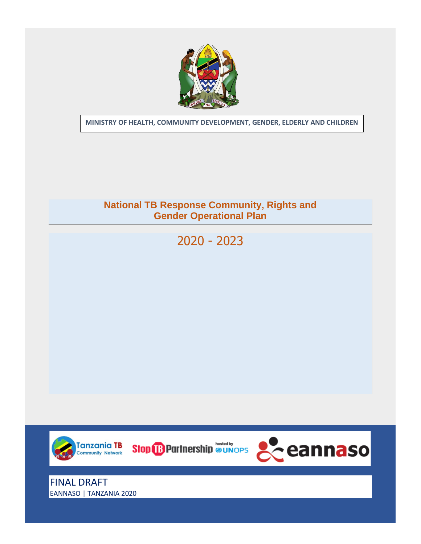

**MINISTRY OF HEALTH, COMMUNITY DEVELOPMENT, GENDER, ELDERLY AND CHILDREN**

# **National TB Response Community, Rights and B Response Community, Ri**<br>Gender Operational Plan

2020 - 2023



EANNASO | TANZANIA 2020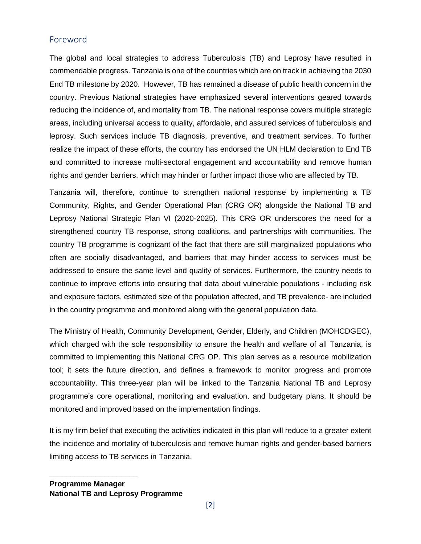## <span id="page-1-0"></span>Foreword

The global and local strategies to address Tuberculosis (TB) and Leprosy have resulted in commendable progress. Tanzania is one of the countries which are on track in achieving the 2030 End TB milestone by 2020. However, TB has remained a disease of public health concern in the country. Previous National strategies have emphasized several interventions geared towards reducing the incidence of, and mortality from TB. The national response covers multiple strategic areas, including universal access to quality, affordable, and assured services of tuberculosis and leprosy. Such services include TB diagnosis, preventive, and treatment services. To further realize the impact of these efforts, the country has endorsed the UN HLM declaration to End TB and committed to increase multi-sectoral engagement and accountability and remove human rights and gender barriers, which may hinder or further impact those who are affected by TB.

Tanzania will, therefore, continue to strengthen national response by implementing a TB Community, Rights, and Gender Operational Plan (CRG OR) alongside the National TB and Leprosy National Strategic Plan VI (2020-2025). This CRG OR underscores the need for a strengthened country TB response, strong coalitions, and partnerships with communities. The country TB programme is cognizant of the fact that there are still marginalized populations who often are socially disadvantaged, and barriers that may hinder access to services must be addressed to ensure the same level and quality of services. Furthermore, the country needs to continue to improve efforts into ensuring that data about vulnerable populations - including risk and exposure factors, estimated size of the population affected, and TB prevalence- are included in the country programme and monitored along with the general population data.

The Ministry of Health, Community Development, Gender, Elderly, and Children (MOHCDGEC), which charged with the sole responsibility to ensure the health and welfare of all Tanzania, is committed to implementing this National CRG OP. This plan serves as a resource mobilization tool; it sets the future direction, and defines a framework to monitor progress and promote accountability. This three-year plan will be linked to the Tanzania National TB and Leprosy programme's core operational, monitoring and evaluation, and budgetary plans. It should be monitored and improved based on the implementation findings.

It is my firm belief that executing the activities indicated in this plan will reduce to a greater extent the incidence and mortality of tuberculosis and remove human rights and gender-based barriers limiting access to TB services in Tanzania.

**\_\_\_\_\_\_\_\_\_\_\_\_\_\_\_\_\_\_\_\_\_**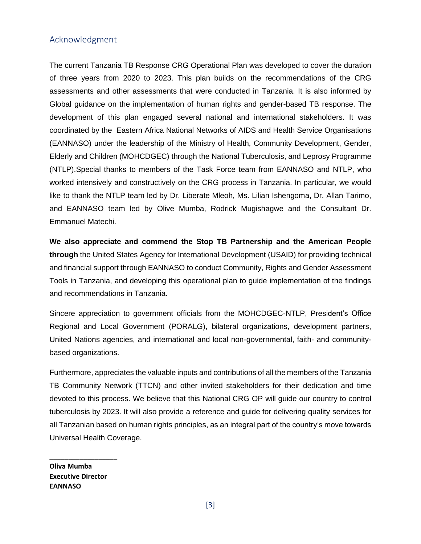#### <span id="page-2-0"></span>Acknowledgment

The current Tanzania TB Response CRG Operational Plan was developed to cover the duration of three years from 2020 to 2023. This plan builds on the recommendations of the CRG assessments and other assessments that were conducted in Tanzania. It is also informed by Global guidance on the implementation of human rights and gender-based TB response. The development of this plan engaged several national and international stakeholders. It was coordinated by the Eastern Africa National Networks of AIDS and Health Service Organisations (EANNASO) under the leadership of the Ministry of Health, Community Development, Gender, Elderly and Children (MOHCDGEC) through the National Tuberculosis, and Leprosy Programme (NTLP).Special thanks to members of the Task Force team from EANNASO and NTLP, who worked intensively and constructively on the CRG process in Tanzania. In particular, we would like to thank the NTLP team led by Dr. Liberate Mleoh, Ms. Lilian Ishengoma, Dr. Allan Tarimo, and EANNASO team led by Olive Mumba, Rodrick Mugishagwe and the Consultant Dr. Emmanuel Matechi.

**We also appreciate and commend the Stop TB Partnership and the American People through** the United States Agency for International Development (USAID) for providing technical and financial support through EANNASO to conduct Community, Rights and Gender Assessment Tools in Tanzania, and developing this operational plan to guide implementation of the findings and recommendations in Tanzania.

Sincere appreciation to government officials from the MOHCDGEC-NTLP, President's Office Regional and Local Government (PORALG), bilateral organizations, development partners, United Nations agencies, and international and local non-governmental, faith- and communitybased organizations.

Furthermore, appreciates the valuable inputs and contributions of all the members of the Tanzania TB Community Network (TTCN) and other invited stakeholders for their dedication and time devoted to this process. We believe that this National CRG OP will guide our country to control tuberculosis by 2023. It will also provide a reference and guide for delivering quality services for all Tanzanian based on human rights principles, as an integral part of the country's move towards Universal Health Coverage.

**Oliva Mumba Executive Director EANNASO**

**\_\_\_\_\_\_\_\_\_\_\_\_\_\_\_\_\_\_**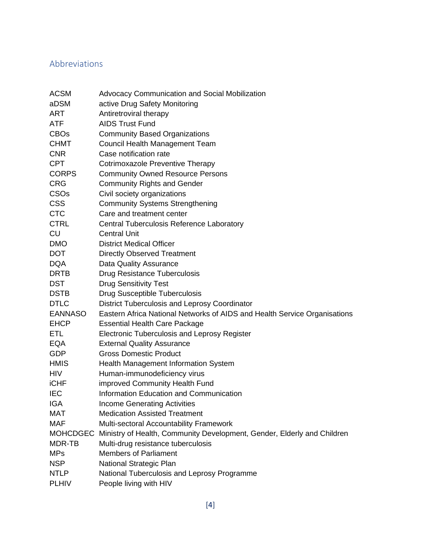## <span id="page-3-0"></span>Abbreviations

| ACSM           | <b>Advocacy Communication and Social Mobilization</b>                     |
|----------------|---------------------------------------------------------------------------|
| aDSM           | active Drug Safety Monitoring                                             |
| ART            | Antiretroviral therapy                                                    |
| ATF            | <b>AIDS Trust Fund</b>                                                    |
| <b>CBOs</b>    | <b>Community Based Organizations</b>                                      |
| CHMT           | Council Health Management Team                                            |
| <b>CNR</b>     | Case notification rate                                                    |
| CPT            | <b>Cotrimoxazole Preventive Therapy</b>                                   |
| <b>CORPS</b>   | <b>Community Owned Resource Persons</b>                                   |
| <b>CRG</b>     | <b>Community Rights and Gender</b>                                        |
| <b>CSOs</b>    | Civil society organizations                                               |
| <b>CSS</b>     | <b>Community Systems Strengthening</b>                                    |
| <b>CTC</b>     | Care and treatment center                                                 |
| <b>CTRL</b>    | Central Tuberculosis Reference Laboratory                                 |
| CU             | <b>Central Unit</b>                                                       |
| <b>DMO</b>     | <b>District Medical Officer</b>                                           |
| DOT            | <b>Directly Observed Treatment</b>                                        |
| <b>DQA</b>     | <b>Data Quality Assurance</b>                                             |
| DRTB           | <b>Drug Resistance Tuberculosis</b>                                       |
| DST            | <b>Drug Sensitivity Test</b>                                              |
| DSTB           | <b>Drug Susceptible Tuberculosis</b>                                      |
| <b>DTLC</b>    | District Tuberculosis and Leprosy Coordinator                             |
| <b>EANNASO</b> | Eastern Africa National Networks of AIDS and Health Service Organisations |
| <b>EHCP</b>    | <b>Essential Health Care Package</b>                                      |
| ETL            | <b>Electronic Tuberculosis and Leprosy Register</b>                       |
| EQA            | <b>External Quality Assurance</b>                                         |
| GDP            | <b>Gross Domestic Product</b>                                             |
| <b>HMIS</b>    | Health Management Information System                                      |
| HIV            | Human-immunodeficiency virus                                              |
| iCHF           | improved Community Health Fund                                            |
| <b>IEC</b>     | Information Education and Communication                                   |
| IGA            | <b>Income Generating Activities</b>                                       |
| <b>MAT</b>     | <b>Medication Assisted Treatment</b>                                      |
| <b>MAF</b>     | Multi-sectoral Accountability Framework                                   |
| MOHCDGEC       | Ministry of Health, Community Development, Gender, Elderly and Children   |
| MDR-TB         | Multi-drug resistance tuberculosis                                        |
| <b>MPs</b>     | <b>Members of Parliament</b>                                              |
| <b>NSP</b>     | National Strategic Plan                                                   |
| NTLP           | National Tuberculosis and Leprosy Programme                               |
| <b>PLHIV</b>   | People living with HIV                                                    |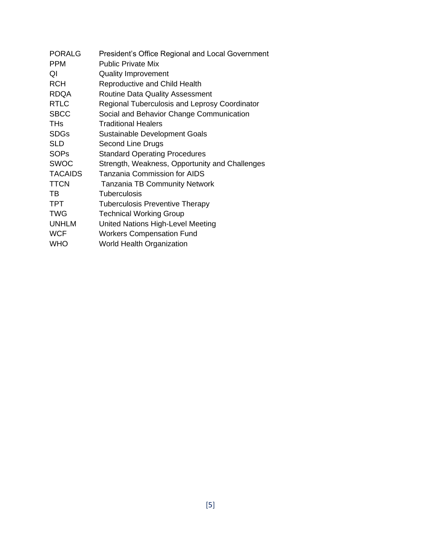| <b>PORALG</b>  | President's Office Regional and Local Government     |
|----------------|------------------------------------------------------|
| <b>PPM</b>     | <b>Public Private Mix</b>                            |
| QI             | <b>Quality Improvement</b>                           |
| <b>RCH</b>     | <b>Reproductive and Child Health</b>                 |
| <b>RDQA</b>    | <b>Routine Data Quality Assessment</b>               |
| <b>RTLC</b>    | <b>Regional Tuberculosis and Leprosy Coordinator</b> |
| <b>SBCC</b>    | Social and Behavior Change Communication             |
| <b>THs</b>     | <b>Traditional Healers</b>                           |
| <b>SDGs</b>    | Sustainable Development Goals                        |
| <b>SLD</b>     | Second Line Drugs                                    |
| <b>SOPs</b>    | <b>Standard Operating Procedures</b>                 |
| <b>SWOC</b>    | Strength, Weakness, Opportunity and Challenges       |
| <b>TACAIDS</b> | <b>Tanzania Commission for AIDS</b>                  |
| <b>TTCN</b>    | <b>Tanzania TB Community Network</b>                 |
| TB             | <b>Tuberculosis</b>                                  |
| <b>TPT</b>     | <b>Tuberculosis Preventive Therapy</b>               |
| <b>TWG</b>     | <b>Technical Working Group</b>                       |
| <b>UNHLM</b>   | United Nations High-Level Meeting                    |
| <b>WCF</b>     | <b>Workers Compensation Fund</b>                     |
| <b>WHO</b>     | <b>World Health Organization</b>                     |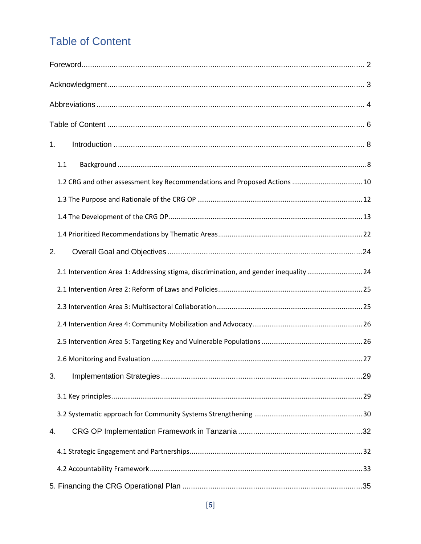## <span id="page-5-0"></span>**Table of Content**

| 1.                                                                                   |  |
|--------------------------------------------------------------------------------------|--|
| 1.1                                                                                  |  |
| 1.2 CRG and other assessment key Recommendations and Proposed Actions  10            |  |
|                                                                                      |  |
|                                                                                      |  |
|                                                                                      |  |
| 2.                                                                                   |  |
| 2.1 Intervention Area 1: Addressing stigma, discrimination, and gender inequality 24 |  |
|                                                                                      |  |
|                                                                                      |  |
|                                                                                      |  |
|                                                                                      |  |
|                                                                                      |  |
| 3.                                                                                   |  |
|                                                                                      |  |
|                                                                                      |  |
| 4.                                                                                   |  |
|                                                                                      |  |
|                                                                                      |  |
|                                                                                      |  |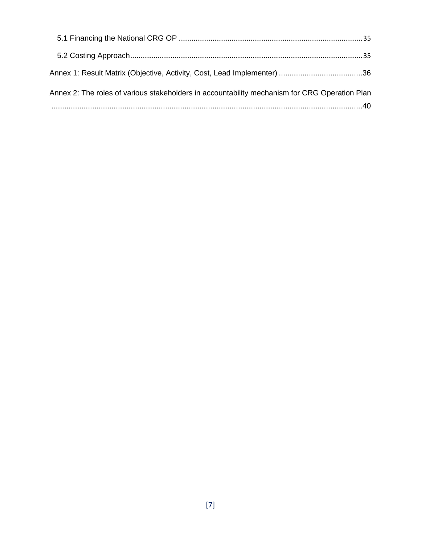<span id="page-6-0"></span>

| Annex 1: Result Matrix (Objective, Activity, Cost, Lead Implementer) 36                       |  |
|-----------------------------------------------------------------------------------------------|--|
| Annex 2: The roles of various stakeholders in accountability mechanism for CRG Operation Plan |  |
|                                                                                               |  |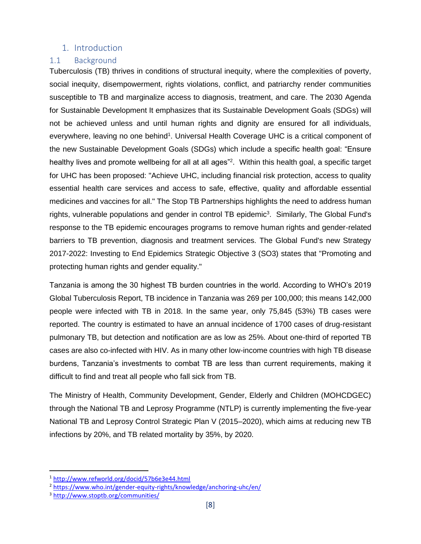#### 1. Introduction

#### <span id="page-7-0"></span>1.1 Background

Tuberculosis (TB) thrives in conditions of structural inequity, where the complexities of poverty, social inequity, disempowerment, rights violations, conflict, and patriarchy render communities susceptible to TB and marginalize access to diagnosis, treatment, and care. The 2030 Agenda for Sustainable Development It emphasizes that its Sustainable Development Goals (SDGs) will not be achieved unless and until human rights and dignity are ensured for all individuals, everywhere, leaving no one behind<sup>1</sup>. Universal Health Coverage UHC is a critical component of the new Sustainable Development Goals (SDGs) which include a specific health goal: "Ensure healthy lives and promote wellbeing for all at all ages"<sup>2</sup>. Within this health goal, a specific target for UHC has been proposed: "Achieve UHC, including financial risk protection, access to quality essential health care services and access to safe, effective, quality and affordable essential medicines and vaccines for all." The Stop TB Partnerships highlights the need to address human rights, vulnerable populations and gender in control TB epidemic<sup>3</sup>. Similarly, The Global Fund's response to the TB epidemic encourages programs to remove human rights and gender-related barriers to TB prevention, diagnosis and treatment services. The Global Fund's new Strategy 2017-2022: Investing to End Epidemics Strategic Objective 3 (SO3) states that "Promoting and protecting human rights and gender equality."

Tanzania is among the 30 highest TB burden countries in the world. According to WHO's 2019 Global Tuberculosis Report, TB incidence in Tanzania was 269 per 100,000; this means 142,000 people were infected with TB in 2018. In the same year, only 75,845 (53%) TB cases were reported. The country is estimated to have an annual incidence of 1700 cases of drug-resistant pulmonary TB, but detection and notification are as low as 25%. About one-third of reported TB cases are also co-infected with HIV. As in many other low-income countries with high TB disease burdens, Tanzania's investments to combat TB are less than current requirements, making it difficult to find and treat all people who fall sick from TB.

The Ministry of Health, Community Development, Gender, Elderly and Children (MOHCDGEC) through the National TB and Leprosy Programme (NTLP) is currently implementing the five-year National TB and Leprosy Control Strategic Plan V (2015–2020), which aims at reducing new TB infections by 20%, and TB related mortality by 35%, by 2020.

<sup>1</sup> <http://www.refworld.org/docid/57b6e3e44.html>

<sup>2</sup> <https://www.who.int/gender-equity-rights/knowledge/anchoring-uhc/en/>

<sup>3</sup> <http://www.stoptb.org/communities/>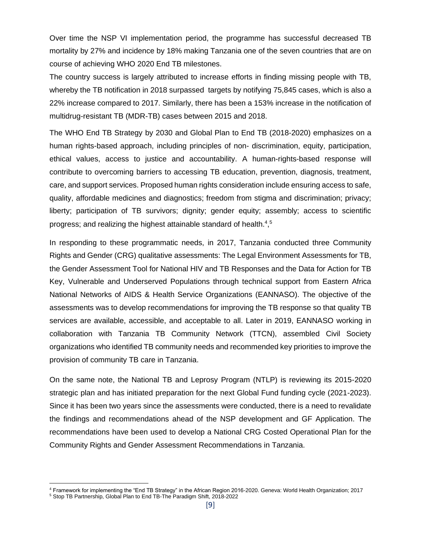Over time the NSP VI implementation period, the programme has successful decreased TB mortality by 27% and incidence by 18% making Tanzania one of the seven countries that are on course of achieving WHO 2020 End TB milestones.

The country success is largely attributed to increase efforts in finding missing people with TB, whereby the TB notification in 2018 surpassed targets by notifying 75,845 cases, which is also a 22% increase compared to 2017. Similarly, there has been a 153% increase in the notification of multidrug-resistant TB (MDR-TB) cases between 2015 and 2018.

The WHO End TB Strategy by 2030 and Global Plan to End TB (2018-2020) emphasizes on a human rights-based approach, including principles of non- discrimination, equity, participation, ethical values, access to justice and accountability. A human-rights-based response will contribute to overcoming barriers to accessing TB education, prevention, diagnosis, treatment, care, and support services. Proposed human rights consideration include ensuring access to safe, quality, affordable medicines and diagnostics; freedom from stigma and discrimination; privacy; liberty; participation of TB survivors; dignity; gender equity; assembly; access to scientific progress; and realizing the highest attainable standard of health.<sup>4</sup>,<sup>5</sup>

In responding to these programmatic needs, in 2017, Tanzania conducted three Community Rights and Gender (CRG) qualitative assessments: The Legal Environment Assessments for TB, the Gender Assessment Tool for National HIV and TB Responses and the Data for Action for TB Key, Vulnerable and Underserved Populations through technical support from Eastern Africa National Networks of AIDS & Health Service Organizations (EANNASO). The objective of the assessments was to develop recommendations for improving the TB response so that quality TB services are available, accessible, and acceptable to all. Later in 2019, EANNASO working in collaboration with Tanzania TB Community Network (TTCN), assembled Civil Society organizations who identified TB community needs and recommended key priorities to improve the provision of community TB care in Tanzania.

On the same note, the National TB and Leprosy Program (NTLP) is reviewing its 2015-2020 strategic plan and has initiated preparation for the next Global Fund funding cycle (2021-2023). Since it has been two years since the assessments were conducted, there is a need to revalidate the findings and recommendations ahead of the NSP development and GF Application. The recommendations have been used to develop a National CRG Costed Operational Plan for the Community Rights and Gender Assessment Recommendations in Tanzania.

<sup>4</sup> Framework for implementing the "End TB Strategy" in the African Region 2016-2020. Geneva: World Health Organization; 2017 <sup>5</sup> Stop TB Partnership, Global Plan to End TB-The Paradigm Shift, 2018-2022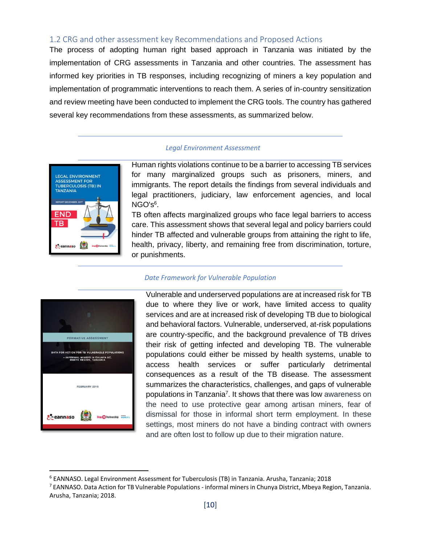#### <span id="page-9-0"></span>1.2 CRG and other assessment key Recommendations and Proposed Actions

The process of adopting human right based approach in Tanzania was initiated by the implementation of CRG assessments in Tanzania and other countries. The assessment has informed key priorities in TB responses, including recognizing of miners a key population and implementation of programmatic interventions to reach them. A series of in-country sensitization and review meeting have been conducted to implement the CRG tools. The country has gathered several key recommendations from these assessments, as summarized below.

#### *Legal Environment Assessment*



Human rights violations continue to be a barrier to accessing TB services for many marginalized groups such as prisoners, miners, and immigrants. The report details the findings from several individuals and legal practitioners, judiciary, law enforcement agencies, and local  $\mathsf{NGO}$ 's $^6$ .

TB often affects marginalized groups who face legal barriers to access care. This assessment shows that several legal and policy barriers could hinder TB affected and vulnerable groups from attaining the right to life, health, privacy, liberty, and remaining free from discrimination, torture, or punishments.



#### *Date Framework for Vulnerable Population*

Vulnerable and underserved populations are at increased risk for TB due to where they live or work, have limited access to quality services and are at increased risk of developing TB due to biological and behavioral factors. Vulnerable, underserved, at-risk populations are country-specific, and the background prevalence of TB drives their risk of getting infected and developing TB. The vulnerable populations could either be missed by health systems, unable to access health services or suffer particularly detrimental consequences as a result of the TB disease. The assessment summarizes the characteristics, challenges, and gaps of vulnerable populations in Tanzania<sup>7</sup>. It shows that there was low awareness on the need to use protective gear among artisan miners, fear of dismissal for those in informal short term employment. In these settings, most miners do not have a binding contract with owners and are often lost to follow up due to their migration nature.

<sup>6</sup> EANNASO. Legal Environment Assessment for Tuberculosis (TB) in Tanzania. Arusha, Tanzania; 2018

<sup>7</sup> EANNASO. Data Action for TB Vulnerable Populations - informal miners in Chunya District, Mbeya Region, Tanzania. Arusha, Tanzania; 2018.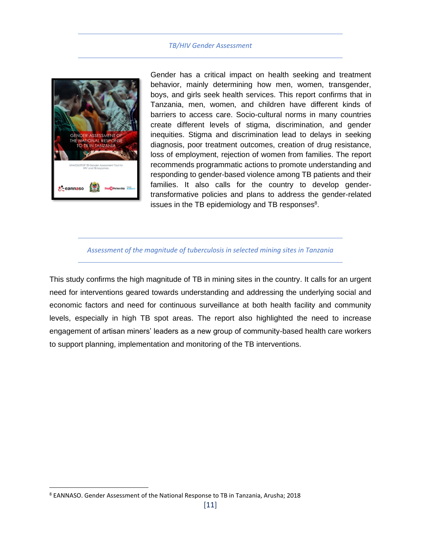#### *TB/HIV Gender Assessment*



Gender has a critical impact on health seeking and treatment behavior, mainly determining how men, women, transgender, boys, and girls seek health services. This report confirms that in Tanzania, men, women, and children have different kinds of barriers to access care. Socio-cultural norms in many countries create different levels of stigma, discrimination, and gender inequities. Stigma and discrimination lead to delays in seeking diagnosis, poor treatment outcomes, creation of drug resistance, loss of employment, rejection of women from families. The report recommends programmatic actions to promote understanding and responding to gender-based violence among TB patients and their families. It also calls for the country to develop gendertransformative policies and plans to address the gender-related issues in the TB epidemiology and TB responses $8$ .

#### *Assessment of the magnitude of tuberculosis in selected mining sites in Tanzania*

This study confirms the high magnitude of TB in mining sites in the country. It calls for an urgent need for interventions geared towards understanding and addressing the underlying social and economic factors and need for continuous surveillance at both health facility and community levels, especially in high TB spot areas. The report also highlighted the need to increase engagement of artisan miners' leaders as a new group of community-based health care workers to support planning, implementation and monitoring of the TB interventions.

<sup>8</sup> EANNASO. Gender Assessment of the National Response to TB in Tanzania, Arusha; 2018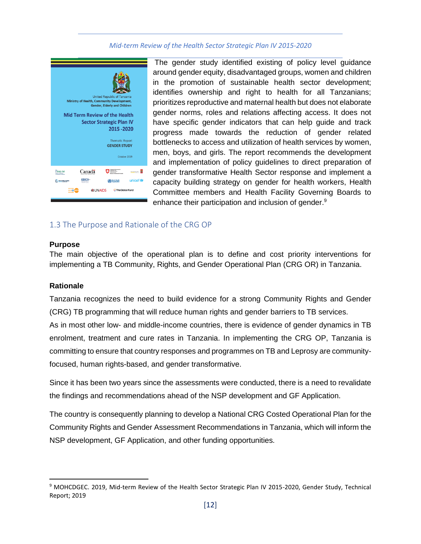#### *Mid-term Review of the Health Sector Strategic Plan IV 2015-2020*



The gender study identified existing of policy level guidance around gender equity, disadvantaged groups, women and children in the promotion of sustainable health sector development; identifies ownership and right to health for all Tanzanians; prioritizes reproductive and maternal health but does not elaborate gender norms, roles and relations affecting access. It does not have specific gender indicators that can help guide and track progress made towards the reduction of gender related bottlenecks to access and utilization of health services by women, men, boys, and girls. The report recommends the development and implementation of policy guidelines to direct preparation of gender transformative Health Sector response and implement a capacity building strategy on gender for health workers, Health Committee members and Health Facility Governing Boards to enhance their participation and inclusion of gender.<sup>9</sup>

#### <span id="page-11-0"></span>1.3 The Purpose and Rationale of the CRG OP

#### **Purpose**

The main objective of the operational plan is to define and cost priority interventions for implementing a TB Community, Rights, and Gender Operational Plan (CRG OR) in Tanzania.

#### **Rationale**

Tanzania recognizes the need to build evidence for a strong Community Rights and Gender (CRG) TB programming that will reduce human rights and gender barriers to TB services.

As in most other low- and middle-income countries, there is evidence of gender dynamics in TB enrolment, treatment and cure rates in Tanzania. In implementing the CRG OP, Tanzania is committing to ensure that country responses and programmes on TB and Leprosy are communityfocused, human rights-based, and gender transformative.

Since it has been two years since the assessments were conducted, there is a need to revalidate the findings and recommendations ahead of the NSP development and GF Application.

The country is consequently planning to develop a National CRG Costed Operational Plan for the Community Rights and Gender Assessment Recommendations in Tanzania, which will inform the NSP development, GF Application, and other funding opportunities.

<sup>9</sup> MOHCDGEC. 2019, Mid-term Review of the Health Sector Strategic Plan IV 2015-2020, Gender Study, Technical Report; 2019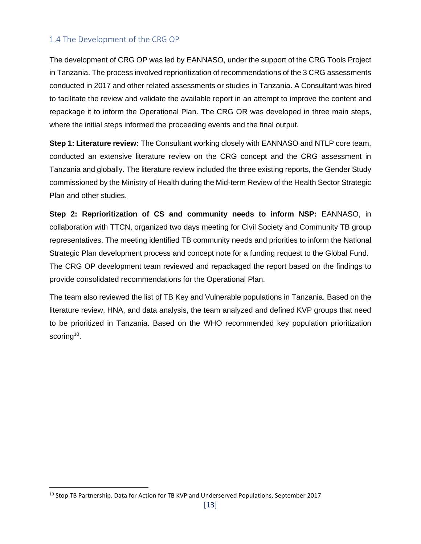#### <span id="page-12-0"></span>1.4 The Development of the CRG OP

The development of CRG OP was led by EANNASO, under the support of the CRG Tools Project in Tanzania. The process involved reprioritization of recommendations of the 3 CRG assessments conducted in 2017 and other related assessments or studies in Tanzania. A Consultant was hired to facilitate the review and validate the available report in an attempt to improve the content and repackage it to inform the Operational Plan. The CRG OR was developed in three main steps, where the initial steps informed the proceeding events and the final output.

**Step 1: Literature review:** The Consultant working closely with EANNASO and NTLP core team, conducted an extensive literature review on the CRG concept and the CRG assessment in Tanzania and globally. The literature review included the three existing reports, the Gender Study commissioned by the Ministry of Health during the Mid-term Review of the Health Sector Strategic Plan and other studies.

**Step 2: Reprioritization of CS and community needs to inform NSP:** EANNASO, in collaboration with TTCN, organized two days meeting for Civil Society and Community TB group representatives. The meeting identified TB community needs and priorities to inform the National Strategic Plan development process and concept note for a funding request to the Global Fund. The CRG OP development team reviewed and repackaged the report based on the findings to provide consolidated recommendations for the Operational Plan.

The team also reviewed the list of TB Key and Vulnerable populations in Tanzania. Based on the literature review, HNA, and data analysis, the team analyzed and defined KVP groups that need to be prioritized in Tanzania. Based on the WHO recommended key population prioritization scoring<sup>10</sup>.

<sup>&</sup>lt;sup>10</sup> Stop TB Partnership. Data for Action for TB KVP and Underserved Populations, September 2017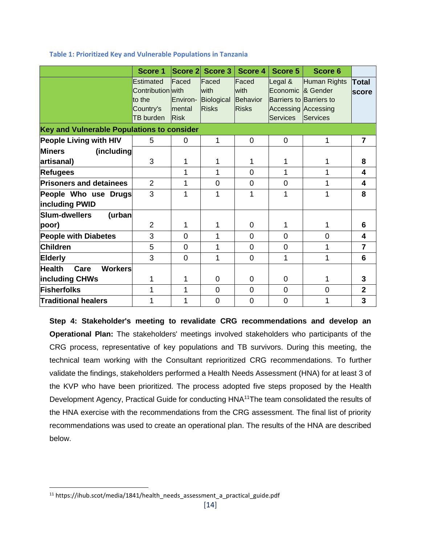|                                            | Score 1                                                                   |                                            | Score 2 Score 3                             | Score 4                                   | Score 5                                                                                                  | Score 6                         |                              |
|--------------------------------------------|---------------------------------------------------------------------------|--------------------------------------------|---------------------------------------------|-------------------------------------------|----------------------------------------------------------------------------------------------------------|---------------------------------|------------------------------|
|                                            | Estimated<br>Contribution with<br>to the<br>Country's<br><b>TB</b> burden | Faced<br>Environ-<br>mental<br><b>Risk</b> | Faced<br>with<br>Biological<br><b>Risks</b> | Faced<br>with<br>Behavior<br><b>Risks</b> | Legal &<br>Economic & Gender<br>Barriers to Barriers to<br><b>Accessing Accessing</b><br><b>Services</b> | Human Rights<br><b>Services</b> | <b>Total</b><br><b>score</b> |
| Key and Vulnerable Populations to consider |                                                                           |                                            |                                             |                                           |                                                                                                          |                                 |                              |
| <b>People Living with HIV</b>              | 5                                                                         | 0                                          | 1                                           | $\overline{0}$                            | $\overline{0}$                                                                                           | 1                               | 7                            |
| <b>Miners</b><br>(including<br>artisanal)  | 3                                                                         | 1                                          | 1                                           | 1                                         | 1                                                                                                        | 1                               | 8                            |
| <b>Refugees</b>                            |                                                                           | 1                                          | 1                                           | $\Omega$                                  | 1                                                                                                        | 1                               | 4                            |
| <b>Prisoners and detainees</b>             | $\overline{2}$                                                            | 1                                          | $\overline{0}$                              | $\overline{0}$                            | $\overline{0}$                                                                                           | 1                               | 4                            |
| People Who use Drugs<br>including PWID     | 3                                                                         | 1                                          | 1                                           | 1                                         | 1                                                                                                        | 1                               | 8                            |
| Slum-dwellers<br>(urban<br>poor)           | $\overline{2}$                                                            | 1                                          | 1                                           | 0                                         | 1                                                                                                        | 1                               | 6                            |
| <b>People with Diabetes</b>                | 3                                                                         | $\mathbf 0$                                | 1                                           | $\overline{0}$                            | $\overline{0}$                                                                                           | $\mathbf 0$                     | 4                            |
| <b>Children</b>                            | 5                                                                         | $\overline{0}$                             | 1                                           | $\Omega$                                  | $\overline{0}$                                                                                           | 1                               | $\overline{7}$               |
| <b>Elderly</b>                             | 3                                                                         | $\overline{0}$                             | 1                                           | $\overline{0}$                            | 1                                                                                                        | 1                               | $6\phantom{1}6$              |
| <b>Health</b><br><b>Workers</b><br>Care    |                                                                           |                                            |                                             |                                           |                                                                                                          |                                 |                              |
| including CHWs                             | 1                                                                         | 1                                          | $\overline{0}$                              | $\mathbf 0$                               | 0                                                                                                        | 1                               | 3                            |
| Fisherfolks                                | 1                                                                         | 1                                          | $\overline{0}$                              | $\overline{0}$                            | $\overline{0}$                                                                                           | $\mathbf 0$                     | $\overline{2}$               |
| <b>Traditional healers</b>                 | 1                                                                         | 1                                          | 0                                           | 0                                         | 0                                                                                                        | 1                               | 3                            |

#### **Table 1: Prioritized Key and Vulnerable Populations in Tanzania**

**Step 4: Stakeholder's meeting to revalidate CRG recommendations and develop an Operational Plan:** The stakeholders' meetings involved stakeholders who participants of the CRG process, representative of key populations and TB survivors. During this meeting, the technical team working with the Consultant reprioritized CRG recommendations. To further validate the findings, stakeholders performed a Health Needs Assessment (HNA) for at least 3 of the KVP who have been prioritized. The process adopted five steps proposed by the [Health](https://ihub.scot/media/1841/health_needs_assessment_a_practical_guide.pdf)  [Development Agency, Practical Guide for conducting HNA](https://ihub.scot/media/1841/health_needs_assessment_a_practical_guide.pdf)<sup>11</sup>The team consolidated the results of the HNA exercise with the recommendations from the CRG assessment. The final list of priority recommendations was used to create an operational plan. The results of the HNA are described below.

 $11$  https://ihub.scot/media/1841/health\_needs\_assessment\_a\_practical\_guide.pdf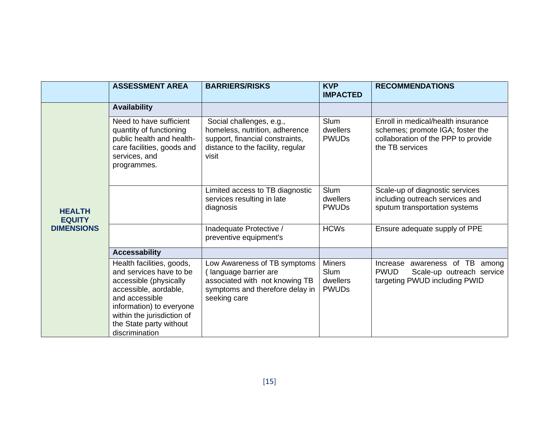|                                                     | <b>ASSESSMENT AREA</b>                                                                                                                                                                                                           | <b>BARRIERS/RISKS</b>                                                                                                                       | <b>KVP</b><br><b>IMPACTED</b>                     | <b>RECOMMENDATIONS</b>                                                                                                           |
|-----------------------------------------------------|----------------------------------------------------------------------------------------------------------------------------------------------------------------------------------------------------------------------------------|---------------------------------------------------------------------------------------------------------------------------------------------|---------------------------------------------------|----------------------------------------------------------------------------------------------------------------------------------|
|                                                     | <b>Availability</b>                                                                                                                                                                                                              |                                                                                                                                             |                                                   |                                                                                                                                  |
| <b>HEALTH</b><br><b>EQUITY</b><br><b>DIMENSIONS</b> | Need to have sufficient<br>quantity of functioning<br>public health and health-<br>care facilities, goods and<br>services, and<br>programmes.                                                                                    | Social challenges, e.g.,<br>homeless, nutrition, adherence<br>support, financial constraints,<br>distance to the facility, regular<br>visit | Slum<br>dwellers<br><b>PWUDs</b>                  | Enroll in medical/health insurance<br>schemes; promote IGA; foster the<br>collaboration of the PPP to provide<br>the TB services |
|                                                     |                                                                                                                                                                                                                                  | Limited access to TB diagnostic<br>services resulting in late<br>diagnosis                                                                  | <b>Slum</b><br>dwellers<br><b>PWUDs</b>           | Scale-up of diagnostic services<br>including outreach services and<br>sputum transportation systems                              |
|                                                     |                                                                                                                                                                                                                                  | Inadequate Protective /<br>preventive equipment's                                                                                           | <b>HCWs</b>                                       | Ensure adequate supply of PPE                                                                                                    |
|                                                     | <b>Accessability</b>                                                                                                                                                                                                             |                                                                                                                                             |                                                   |                                                                                                                                  |
|                                                     | Health facilities, goods,<br>and services have to be<br>accessible (physically<br>accessible, aordable,<br>and accessible<br>information) to everyone<br>within the jurisdiction of<br>the State party without<br>discrimination | Low Awareness of TB symptoms<br>(language barrier are<br>associated with not knowing TB<br>symptoms and therefore delay in<br>seeking care  | <b>Miners</b><br>Slum<br>dwellers<br><b>PWUDs</b> | Increase awareness of TB among<br><b>PWUD</b><br>Scale-up outreach service<br>targeting PWUD including PWID                      |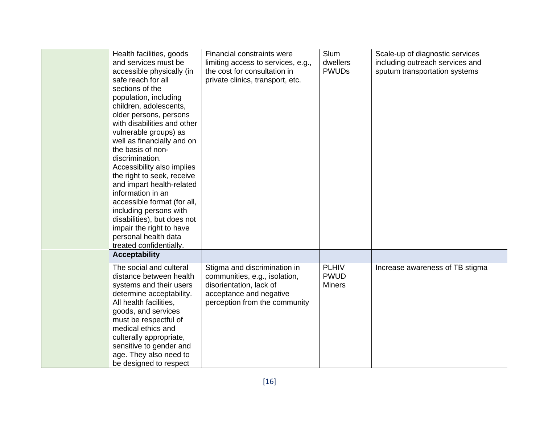| Health facilities, goods<br>and services must be<br>accessible physically (in<br>safe reach for all<br>sections of the<br>population, including<br>children, adolescents,<br>older persons, persons<br>with disabilities and other<br>vulnerable groups) as<br>well as financially and on<br>the basis of non-<br>discrimination.<br>Accessibility also implies<br>the right to seek, receive<br>and impart health-related<br>information in an<br>accessible format (for all,<br>including persons with<br>disabilities), but does not<br>impair the right to have<br>personal health data<br>treated confidentially. | <b>Financial constraints were</b><br>limiting access to services, e.g.,<br>the cost for consultation in<br>private clinics, transport, etc.          | <b>Slum</b><br>dwellers<br><b>PWUDs</b>      | Scale-up of diagnostic services<br>including outreach services and<br>sputum transportation systems |
|------------------------------------------------------------------------------------------------------------------------------------------------------------------------------------------------------------------------------------------------------------------------------------------------------------------------------------------------------------------------------------------------------------------------------------------------------------------------------------------------------------------------------------------------------------------------------------------------------------------------|------------------------------------------------------------------------------------------------------------------------------------------------------|----------------------------------------------|-----------------------------------------------------------------------------------------------------|
| <b>Acceptability</b>                                                                                                                                                                                                                                                                                                                                                                                                                                                                                                                                                                                                   |                                                                                                                                                      |                                              |                                                                                                     |
| The social and culteral<br>distance between health<br>systems and their users<br>determine acceptability.<br>All health facilities,<br>goods, and services<br>must be respectful of<br>medical ethics and<br>culterally appropriate,<br>sensitive to gender and<br>age. They also need to<br>be designed to respect                                                                                                                                                                                                                                                                                                    | Stigma and discrimination in<br>communities, e.g., isolation,<br>disorientation, lack of<br>acceptance and negative<br>perception from the community | <b>PLHIV</b><br><b>PWUD</b><br><b>Miners</b> | Increase awareness of TB stigma                                                                     |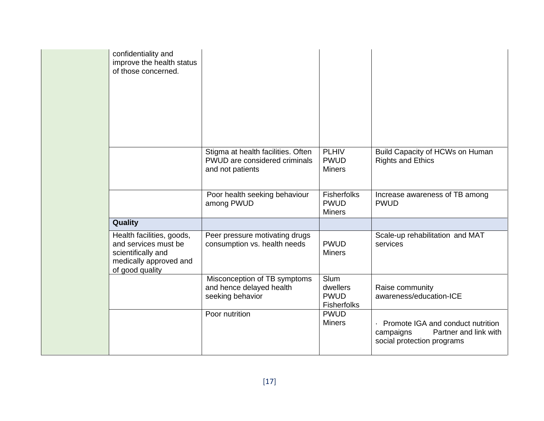| confidentiality and<br>improve the health status<br>of those concerned.                                              |                                                                                         |                                                    |                                                                                                       |
|----------------------------------------------------------------------------------------------------------------------|-----------------------------------------------------------------------------------------|----------------------------------------------------|-------------------------------------------------------------------------------------------------------|
|                                                                                                                      | Stigma at health facilities. Often<br>PWUD are considered criminals<br>and not patients | <b>PLHIV</b><br><b>PWUD</b><br><b>Miners</b>       | Build Capacity of HCWs on Human<br><b>Rights and Ethics</b>                                           |
|                                                                                                                      | Poor health seeking behaviour<br>among PWUD                                             | <b>Fisherfolks</b><br><b>PWUD</b><br><b>Miners</b> | Increase awareness of TB among<br><b>PWUD</b>                                                         |
| Quality                                                                                                              |                                                                                         |                                                    |                                                                                                       |
| Health facilities, goods,<br>and services must be<br>scientifically and<br>medically approved and<br>of good quality | Peer pressure motivating drugs<br>consumption vs. health needs                          | <b>PWUD</b><br><b>Miners</b>                       | Scale-up rehabilitation and MAT<br>services                                                           |
|                                                                                                                      | Misconception of TB symptoms<br>and hence delayed health<br>seeking behavior            | Slum<br>dwellers<br><b>PWUD</b><br>Fisherfolks     | Raise community<br>awareness/education-ICE                                                            |
|                                                                                                                      | Poor nutrition                                                                          | <b>PWUD</b><br><b>Miners</b>                       | Promote IGA and conduct nutrition<br>Partner and link with<br>campaigns<br>social protection programs |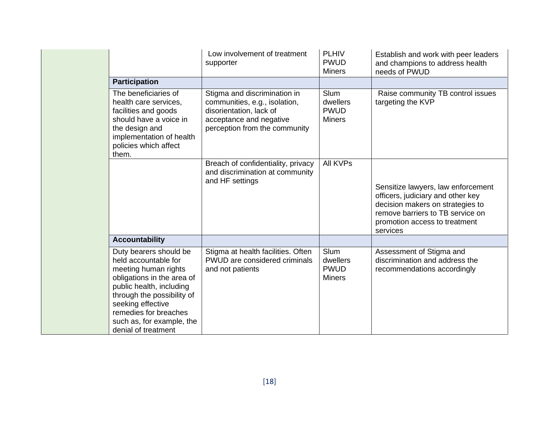|  |                                                                                                                                                                                                                                                                  | Low involvement of treatment<br>supporter                                                                                                            | <b>PLHIV</b><br><b>PWUD</b><br><b>Miners</b>            | Establish and work with peer leaders<br>and champions to address health<br>needs of PWUD                                                                                                     |
|--|------------------------------------------------------------------------------------------------------------------------------------------------------------------------------------------------------------------------------------------------------------------|------------------------------------------------------------------------------------------------------------------------------------------------------|---------------------------------------------------------|----------------------------------------------------------------------------------------------------------------------------------------------------------------------------------------------|
|  | <b>Participation</b>                                                                                                                                                                                                                                             |                                                                                                                                                      |                                                         |                                                                                                                                                                                              |
|  | The beneficiaries of<br>health care services,<br>facilities and goods<br>should have a voice in<br>the design and<br>implementation of health<br>policies which affect<br>them.                                                                                  | Stigma and discrimination in<br>communities, e.g., isolation,<br>disorientation, lack of<br>acceptance and negative<br>perception from the community | <b>Slum</b><br>dwellers<br><b>PWUD</b><br><b>Miners</b> | Raise community TB control issues<br>targeting the KVP                                                                                                                                       |
|  |                                                                                                                                                                                                                                                                  | Breach of confidentiality, privacy<br>and discrimination at community<br>and HF settings                                                             | <b>All KVPs</b>                                         | Sensitize lawyers, law enforcement<br>officers, judiciary and other key<br>decision makers on strategies to<br>remove barriers to TB service on<br>promotion access to treatment<br>services |
|  | <b>Accountability</b>                                                                                                                                                                                                                                            |                                                                                                                                                      |                                                         |                                                                                                                                                                                              |
|  | Duty bearers should be<br>held accountable for<br>meeting human rights<br>obligations in the area of<br>public health, including<br>through the possibility of<br>seeking effective<br>remedies for breaches<br>such as, for example, the<br>denial of treatment | Stigma at health facilities. Often<br>PWUD are considered criminals<br>and not patients                                                              | Slum<br>dwellers<br><b>PWUD</b><br><b>Miners</b>        | Assessment of Stigma and<br>discrimination and address the<br>recommendations accordingly                                                                                                    |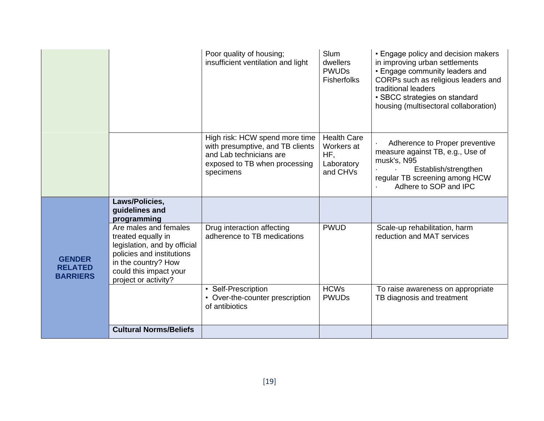|                                                    |                                                                                                                                                                                   | Poor quality of housing;<br>insufficient ventilation and light                                                                              | <b>Slum</b><br>dwellers<br><b>PWUDs</b><br><b>Fisherfolks</b>     | • Engage policy and decision makers<br>in improving urban settlements<br>• Engage community leaders and<br>CORPs such as religious leaders and<br>traditional leaders<br>• SBCC strategies on standard<br>housing (multisectoral collaboration) |
|----------------------------------------------------|-----------------------------------------------------------------------------------------------------------------------------------------------------------------------------------|---------------------------------------------------------------------------------------------------------------------------------------------|-------------------------------------------------------------------|-------------------------------------------------------------------------------------------------------------------------------------------------------------------------------------------------------------------------------------------------|
|                                                    |                                                                                                                                                                                   | High risk: HCW spend more time<br>with presumptive, and TB clients<br>and Lab technicians are<br>exposed to TB when processing<br>specimens | <b>Health Care</b><br>Workers at<br>HF,<br>Laboratory<br>and CHVs | Adherence to Proper preventive<br>measure against TB, e.g., Use of<br>musk's, N95<br>Establish/strengthen<br>regular TB screening among HCW<br>Adhere to SOP and IPC                                                                            |
|                                                    | Laws/Policies,<br>guidelines and<br>programming                                                                                                                                   |                                                                                                                                             |                                                                   |                                                                                                                                                                                                                                                 |
| <b>GENDER</b><br><b>RELATED</b><br><b>BARRIERS</b> | Are males and females<br>treated equally in<br>legislation, and by official<br>policies and institutions<br>in the country? How<br>could this impact your<br>project or activity? | Drug interaction affecting<br>adherence to TB medications                                                                                   | <b>PWUD</b>                                                       | Scale-up rehabilitation, harm<br>reduction and MAT services                                                                                                                                                                                     |
|                                                    |                                                                                                                                                                                   | • Self-Prescription<br>• Over-the-counter prescription<br>of antibiotics                                                                    | <b>HCWs</b><br><b>PWUDs</b>                                       | To raise awareness on appropriate<br>TB diagnosis and treatment                                                                                                                                                                                 |
|                                                    | <b>Cultural Norms/Beliefs</b>                                                                                                                                                     |                                                                                                                                             |                                                                   |                                                                                                                                                                                                                                                 |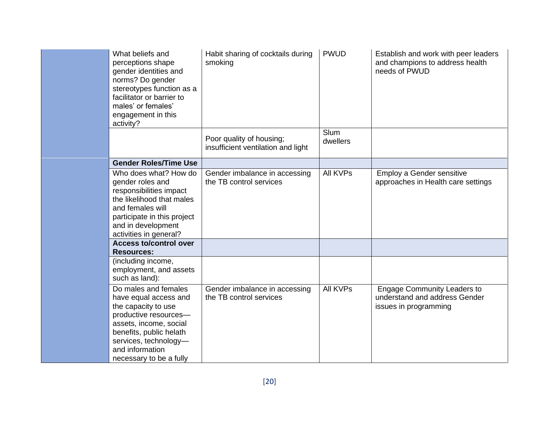| What beliefs and<br>perceptions shape<br>gender identities and<br>norms? Do gender<br>stereotypes function as a<br>facilitator or barrier to<br>males' or females'<br>engagement in this<br>activity?                     | Habit sharing of cocktails during<br>smoking                   | <b>PWUD</b>             | Establish and work with peer leaders<br>and champions to address health<br>needs of PWUD     |
|---------------------------------------------------------------------------------------------------------------------------------------------------------------------------------------------------------------------------|----------------------------------------------------------------|-------------------------|----------------------------------------------------------------------------------------------|
|                                                                                                                                                                                                                           | Poor quality of housing;<br>insufficient ventilation and light | <b>Slum</b><br>dwellers |                                                                                              |
| <b>Gender Roles/Time Use</b>                                                                                                                                                                                              |                                                                |                         |                                                                                              |
| Who does what? How do<br>gender roles and<br>responsibilities impact<br>the likelihood that males<br>and females will<br>participate in this project<br>and in development<br>activities in general?                      | Gender imbalance in accessing<br>the TB control services       | <b>All KVPs</b>         | Employ a Gender sensitive<br>approaches in Health care settings                              |
| <b>Access to/control over</b>                                                                                                                                                                                             |                                                                |                         |                                                                                              |
| <b>Resources:</b><br>(including income,<br>employment, and assets<br>such as land):                                                                                                                                       |                                                                |                         |                                                                                              |
| Do males and females<br>have equal access and<br>the capacity to use<br>productive resources-<br>assets, income, social<br>benefits, public helath<br>services, technology-<br>and information<br>necessary to be a fully | Gender imbalance in accessing<br>the TB control services       | <b>All KVPs</b>         | <b>Engage Community Leaders to</b><br>understand and address Gender<br>issues in programming |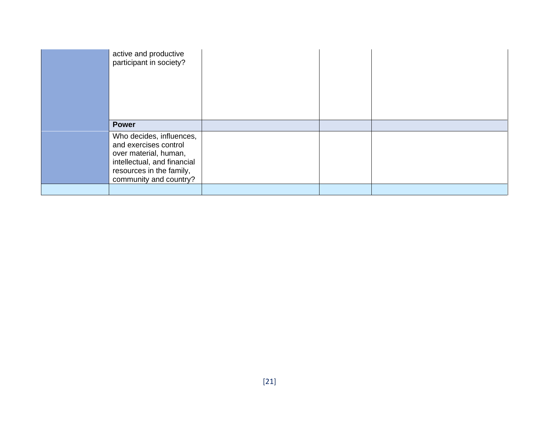| active and productive<br>participant in society?                                                                                                                |  |  |
|-----------------------------------------------------------------------------------------------------------------------------------------------------------------|--|--|
| <b>Power</b>                                                                                                                                                    |  |  |
| Who decides, influences,<br>and exercises control<br>over material, human,<br>intellectual, and financial<br>resources in the family,<br>community and country? |  |  |
|                                                                                                                                                                 |  |  |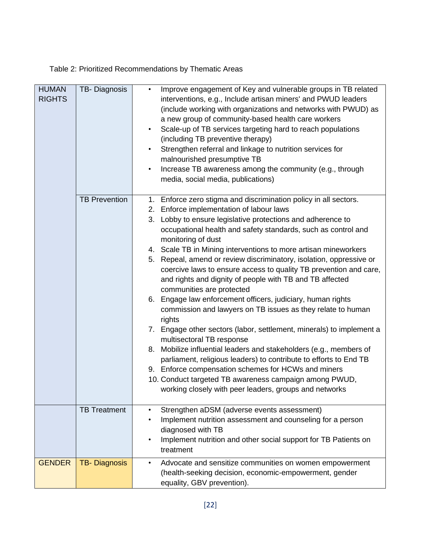<span id="page-21-0"></span>Table 2: Prioritized Recommendations by Thematic Areas

| <b>HUMAN</b><br><b>RIGHTS</b> | TB-Diagnosis         | Improve engagement of Key and vulnerable groups in TB related<br>$\bullet$<br>interventions, e.g., Include artisan miners' and PWUD leaders<br>(include working with organizations and networks with PWUD) as<br>a new group of community-based health care workers<br>Scale-up of TB services targeting hard to reach populations<br>$\bullet$<br>(including TB preventive therapy)<br>Strengthen referral and linkage to nutrition services for<br>$\bullet$<br>malnourished presumptive TB<br>Increase TB awareness among the community (e.g., through<br>$\bullet$<br>media, social media, publications)                                                                                                                                                                                                                                                                                                                                                                                                                                                                                                                                     |
|-------------------------------|----------------------|--------------------------------------------------------------------------------------------------------------------------------------------------------------------------------------------------------------------------------------------------------------------------------------------------------------------------------------------------------------------------------------------------------------------------------------------------------------------------------------------------------------------------------------------------------------------------------------------------------------------------------------------------------------------------------------------------------------------------------------------------------------------------------------------------------------------------------------------------------------------------------------------------------------------------------------------------------------------------------------------------------------------------------------------------------------------------------------------------------------------------------------------------|
|                               | <b>TB Prevention</b> | 1. Enforce zero stigma and discrimination policy in all sectors.<br>2. Enforce implementation of labour laws<br>3. Lobby to ensure legislative protections and adherence to<br>occupational health and safety standards, such as control and<br>monitoring of dust<br>4. Scale TB in Mining interventions to more artisan mineworkers<br>5. Repeal, amend or review discriminatory, isolation, oppressive or<br>coercive laws to ensure access to quality TB prevention and care,<br>and rights and dignity of people with TB and TB affected<br>communities are protected<br>Engage law enforcement officers, judiciary, human rights<br>6.<br>commission and lawyers on TB issues as they relate to human<br>rights<br>7. Engage other sectors (labor, settlement, minerals) to implement a<br>multisectoral TB response<br>8. Mobilize influential leaders and stakeholders (e.g., members of<br>parliament, religious leaders) to contribute to efforts to End TB<br>9. Enforce compensation schemes for HCWs and miners<br>10. Conduct targeted TB awareness campaign among PWUD,<br>working closely with peer leaders, groups and networks |
|                               | <b>TB Treatment</b>  | Strengthen aDSM (adverse events assessment)<br>$\bullet$<br>Implement nutrition assessment and counseling for a person<br>٠<br>diagnosed with TB<br>Implement nutrition and other social support for TB Patients on<br>$\bullet$<br>treatment                                                                                                                                                                                                                                                                                                                                                                                                                                                                                                                                                                                                                                                                                                                                                                                                                                                                                                    |
| <b>GENDER</b>                 | <b>TB-Diagnosis</b>  | Advocate and sensitize communities on women empowerment<br>$\bullet$<br>(health-seeking decision, economic-empowerment, gender<br>equality, GBV prevention).                                                                                                                                                                                                                                                                                                                                                                                                                                                                                                                                                                                                                                                                                                                                                                                                                                                                                                                                                                                     |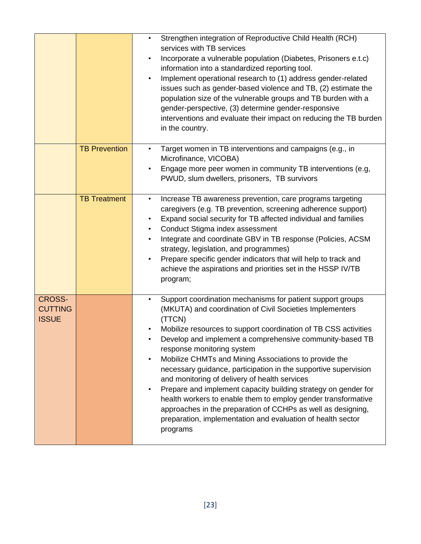|                                                 |                      | Strengthen integration of Reproductive Child Health (RCH)<br>$\bullet$<br>services with TB services<br>Incorporate a vulnerable population (Diabetes, Prisoners e.t.c)<br>$\bullet$<br>information into a standardized reporting tool.<br>Implement operational research to (1) address gender-related<br>$\bullet$<br>issues such as gender-based violence and TB, (2) estimate the<br>population size of the vulnerable groups and TB burden with a<br>gender-perspective, (3) determine gender-responsive<br>interventions and evaluate their impact on reducing the TB burden<br>in the country.                                                                                                                                                                                            |
|-------------------------------------------------|----------------------|-------------------------------------------------------------------------------------------------------------------------------------------------------------------------------------------------------------------------------------------------------------------------------------------------------------------------------------------------------------------------------------------------------------------------------------------------------------------------------------------------------------------------------------------------------------------------------------------------------------------------------------------------------------------------------------------------------------------------------------------------------------------------------------------------|
|                                                 | <b>TB Prevention</b> | Target women in TB interventions and campaigns (e.g., in<br>$\bullet$<br>Microfinance, VICOBA)<br>Engage more peer women in community TB interventions (e.g,<br>$\bullet$<br>PWUD, slum dwellers, prisoners, TB survivors                                                                                                                                                                                                                                                                                                                                                                                                                                                                                                                                                                       |
|                                                 | <b>TB Treatment</b>  | Increase TB awareness prevention, care programs targeting<br>$\bullet$<br>caregivers (e.g. TB prevention, screening adherence support)<br>Expand social security for TB affected individual and families<br>٠<br>Conduct Stigma index assessment<br>$\bullet$<br>Integrate and coordinate GBV in TB response (Policies, ACSM<br>$\bullet$<br>strategy, legislation, and programmes)<br>Prepare specific gender indicators that will help to track and<br>$\bullet$<br>achieve the aspirations and priorities set in the HSSP IV/TB<br>program;                                                                                                                                                                                                                                                  |
| <b>CROSS-</b><br><b>CUTTING</b><br><b>ISSUE</b> |                      | Support coordination mechanisms for patient support groups<br>$\bullet$<br>(MKUTA) and coordination of Civil Societies Implementers<br>(TTCN)<br>Mobilize resources to support coordination of TB CSS activities<br>Develop and implement a comprehensive community-based TB<br>response monitoring system<br>Mobilize CHMTs and Mining Associations to provide the<br>$\bullet$<br>necessary guidance, participation in the supportive supervision<br>and monitoring of delivery of health services<br>Prepare and implement capacity building strategy on gender for<br>$\bullet$<br>health workers to enable them to employ gender transformative<br>approaches in the preparation of CCHPs as well as designing,<br>preparation, implementation and evaluation of health sector<br>programs |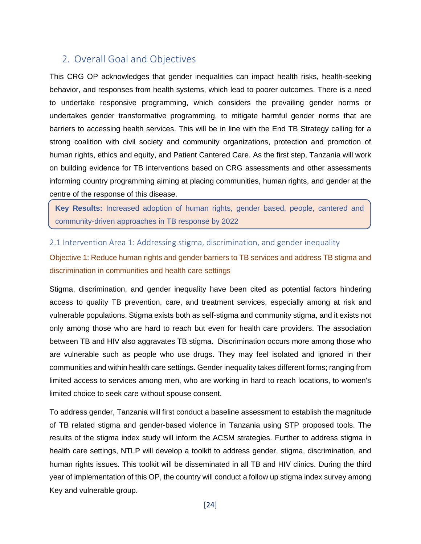## <span id="page-23-0"></span>2. Overall Goal and Objectives

This CRG OP acknowledges that gender inequalities can impact health risks, health-seeking behavior, and responses from health systems, which lead to poorer outcomes. There is a need to undertake responsive programming, which considers the prevailing gender norms or undertakes gender transformative programming, to mitigate harmful gender norms that are barriers to accessing health services. This will be in line with the End TB Strategy calling for a strong coalition with civil society and community organizations, protection and promotion of human rights, ethics and equity, and Patient Cantered Care. As the first step, Tanzania will work on building evidence for TB interventions based on CRG assessments and other assessments informing country programming aiming at placing communities, human rights, and gender at the centre of the response of this disease.

**Key Results:** Increased adoption of human rights, gender based, people, cantered and community-driven approaches in TB response by 2022

#### <span id="page-23-1"></span>2.1 Intervention Area 1: Addressing stigma, discrimination, and gender inequality

Objective 1: Reduce human rights and gender barriers to TB services and address TB stigma and discrimination in communities and health care settings

Stigma, discrimination, and gender inequality have been cited as potential factors hindering access to quality TB prevention, care, and treatment services, especially among at risk and vulnerable populations. Stigma exists both as self-stigma and community stigma, and it exists not only among those who are hard to reach but even for health care providers. The association between TB and HIV also aggravates TB stigma. Discrimination occurs more among those who are vulnerable such as people who use drugs. They may feel isolated and ignored in their communities and within health care settings. Gender inequality takes different forms; ranging from limited access to services among men, who are working in hard to reach locations, to women's limited choice to seek care without spouse consent.

To address gender, Tanzania will first conduct a baseline assessment to establish the magnitude of TB related stigma and gender-based violence in Tanzania using STP proposed tools. The results of the stigma index study will inform the ACSM strategies. Further to address stigma in health care settings, NTLP will develop a toolkit to address gender, stigma, discrimination, and human rights issues. This toolkit will be disseminated in all TB and HIV clinics. During the third year of implementation of this OP, the country will conduct a follow up stigma index survey among Key and vulnerable group.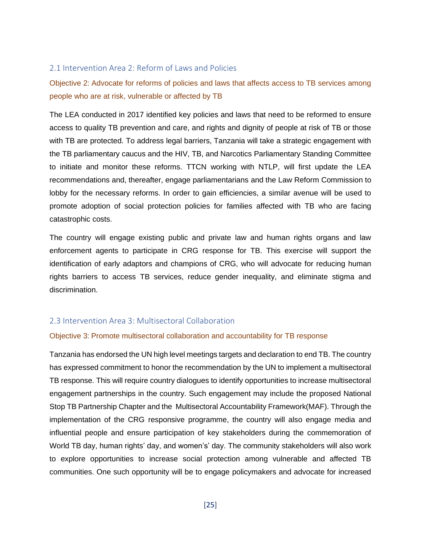#### <span id="page-24-0"></span>2.1 Intervention Area 2: Reform of Laws and Policies

Objective 2: Advocate for reforms of policies and laws that affects access to TB services among people who are at risk, vulnerable or affected by TB

The LEA conducted in 2017 identified key policies and laws that need to be reformed to ensure access to quality TB prevention and care, and rights and dignity of people at risk of TB or those with TB are protected. To address legal barriers, Tanzania will take a strategic engagement with the TB parliamentary caucus and the HIV, TB, and Narcotics Parliamentary Standing Committee to initiate and monitor these reforms. TTCN working with NTLP, will first update the LEA recommendations and, thereafter, engage parliamentarians and the Law Reform Commission to lobby for the necessary reforms. In order to gain efficiencies, a similar avenue will be used to promote adoption of social protection policies for families affected with TB who are facing catastrophic costs.

The country will engage existing public and private law and human rights organs and law enforcement agents to participate in CRG response for TB. This exercise will support the identification of early adaptors and champions of CRG, who will advocate for reducing human rights barriers to access TB services, reduce gender inequality, and eliminate stigma and discrimination.

#### <span id="page-24-1"></span>2.3 Intervention Area 3: Multisectoral Collaboration

#### Objective 3: Promote multisectoral collaboration and accountability for TB response

Tanzania has endorsed the UN high level meetings targets and declaration to end TB. The country has expressed commitment to honor the recommendation by the UN to implement a multisectoral TB response. This will require country dialogues to identify opportunities to increase multisectoral engagement partnerships in the country. Such engagement may include the proposed National Stop TB Partnership Chapter and the Multisectoral Accountability Framework(MAF). Through the implementation of the CRG responsive programme, the country will also engage media and influential people and ensure participation of key stakeholders during the commemoration of World TB day, human rights' day, and women's' day. The community stakeholders will also work to explore opportunities to increase social protection among vulnerable and affected TB communities. One such opportunity will be to engage policymakers and advocate for increased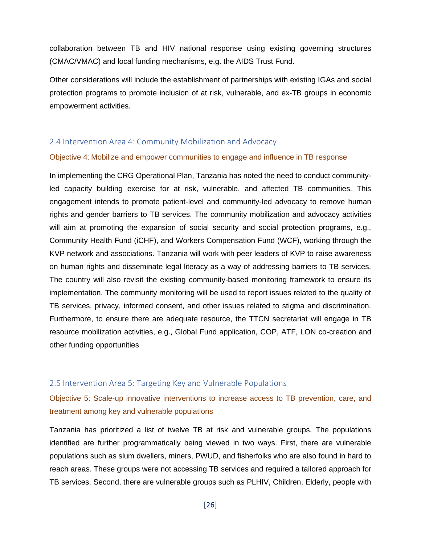collaboration between TB and HIV national response using existing governing structures (CMAC/VMAC) and local funding mechanisms, e.g. the AIDS Trust Fund.

Other considerations will include the establishment of partnerships with existing IGAs and social protection programs to promote inclusion of at risk, vulnerable, and ex-TB groups in economic empowerment activities.

#### <span id="page-25-0"></span>2.4 Intervention Area 4: Community Mobilization and Advocacy

#### Objective 4: Mobilize and empower communities to engage and influence in TB response

In implementing the CRG Operational Plan, Tanzania has noted the need to conduct communityled capacity building exercise for at risk, vulnerable, and affected TB communities. This engagement intends to promote patient-level and community-led advocacy to remove human rights and gender barriers to TB services. The community mobilization and advocacy activities will aim at promoting the expansion of social security and social protection programs, e.g., Community Health Fund (iCHF), and Workers Compensation Fund (WCF), working through the KVP network and associations. Tanzania will work with peer leaders of KVP to raise awareness on human rights and disseminate legal literacy as a way of addressing barriers to TB services. The country will also revisit the existing community-based monitoring framework to ensure its implementation. The community monitoring will be used to report issues related to the quality of TB services, privacy, informed consent, and other issues related to stigma and discrimination. Furthermore, to ensure there are adequate resource, the TTCN secretariat will engage in TB resource mobilization activities, e.g., Global Fund application, COP, ATF, LON co-creation and other funding opportunities

#### <span id="page-25-1"></span>2.5 Intervention Area 5: Targeting Key and Vulnerable Populations

Objective 5: Scale-up innovative interventions to increase access to TB prevention, care, and treatment among key and vulnerable populations

Tanzania has prioritized a list of twelve TB at risk and vulnerable groups. The populations identified are further programmatically being viewed in two ways. First, there are vulnerable populations such as slum dwellers, miners, PWUD, and fisherfolks who are also found in hard to reach areas. These groups were not accessing TB services and required a tailored approach for TB services. Second, there are vulnerable groups such as PLHIV, Children, Elderly, people with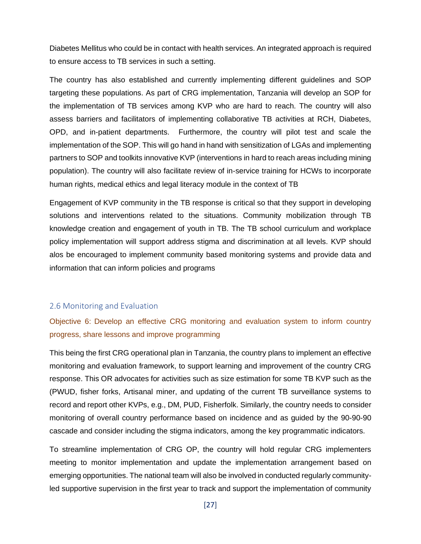Diabetes Mellitus who could be in contact with health services. An integrated approach is required to ensure access to TB services in such a setting.

The country has also established and currently implementing different guidelines and SOP targeting these populations. As part of CRG implementation, Tanzania will develop an SOP for the implementation of TB services among KVP who are hard to reach. The country will also assess barriers and facilitators of implementing collaborative TB activities at RCH, Diabetes, OPD, and in-patient departments. Furthermore, the country will pilot test and scale the implementation of the SOP. This will go hand in hand with sensitization of LGAs and implementing partners to SOP and toolkits innovative KVP (interventions in hard to reach areas including mining population). The country will also facilitate review of in-service training for HCWs to incorporate human rights, medical ethics and legal literacy module in the context of TB

Engagement of KVP community in the TB response is critical so that they support in developing solutions and interventions related to the situations. Community mobilization through TB knowledge creation and engagement of youth in TB. The TB school curriculum and workplace policy implementation will support address stigma and discrimination at all levels. KVP should alos be encouraged to implement community based monitoring systems and provide data and information that can inform policies and programs

#### <span id="page-26-0"></span>2.6 Monitoring and Evaluation

## Objective 6: Develop an effective CRG monitoring and evaluation system to inform country progress, share lessons and improve programming

This being the first CRG operational plan in Tanzania, the country plans to implement an effective monitoring and evaluation framework, to support learning and improvement of the country CRG response. This OR advocates for activities such as size estimation for some TB KVP such as the (PWUD, fisher forks, Artisanal miner, and updating of the current TB surveillance systems to record and report other KVPs, e.g., DM, PUD, Fisherfolk. Similarly, the country needs to consider monitoring of overall country performance based on incidence and as guided by the 90-90-90 cascade and consider including the stigma indicators, among the key programmatic indicators.

To streamline implementation of CRG OP, the country will hold regular CRG implementers meeting to monitor implementation and update the implementation arrangement based on emerging opportunities. The national team will also be involved in conducted regularly communityled supportive supervision in the first year to track and support the implementation of community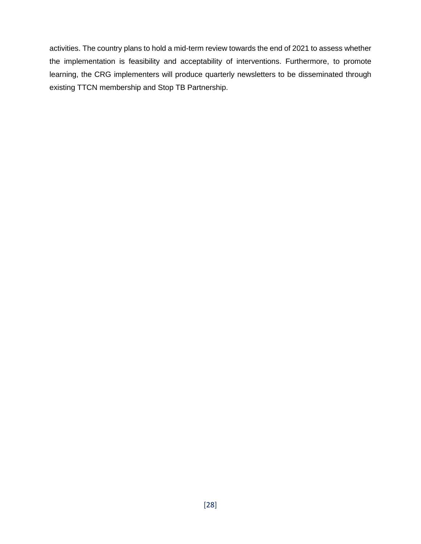activities. The country plans to hold a mid-term review towards the end of 2021 to assess whether the implementation is feasibility and acceptability of interventions. Furthermore, to promote learning, the CRG implementers will produce quarterly newsletters to be disseminated through existing TTCN membership and Stop TB Partnership.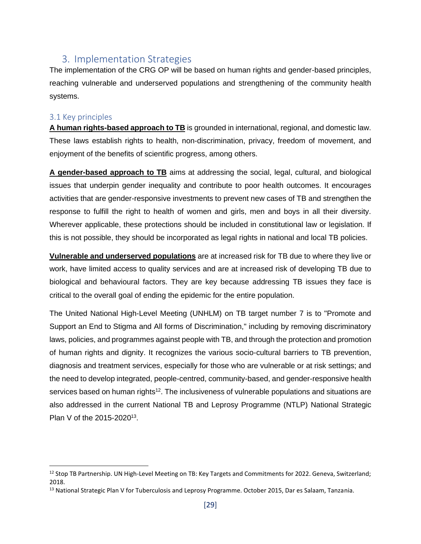## <span id="page-28-0"></span>3. Implementation Strategies

The implementation of the CRG OP will be based on human rights and gender-based principles, reaching vulnerable and underserved populations and strengthening of the community health systems.

#### <span id="page-28-1"></span>3.1 Key principles

**A human rights-based approach to TB** is grounded in international, regional, and domestic law. These laws establish rights to health, non-discrimination, privacy, freedom of movement, and enjoyment of the benefits of scientific progress, among others.

**A gender-based approach to TB** aims at addressing the social, legal, cultural, and biological issues that underpin gender inequality and contribute to poor health outcomes. It encourages activities that are gender-responsive investments to prevent new cases of TB and strengthen the response to fulfill the right to health of women and girls, men and boys in all their diversity. Wherever applicable, these protections should be included in constitutional law or legislation. If this is not possible, they should be incorporated as legal rights in national and local TB policies.

**Vulnerable and underserved populations** are at increased risk for TB due to where they live or work, have limited access to quality services and are at increased risk of developing TB due to biological and behavioural factors. They are key because addressing TB issues they face is critical to the overall goal of ending the epidemic for the entire population.

The United National High-Level Meeting (UNHLM) on TB target number 7 is to "Promote and Support an End to Stigma and All forms of Discrimination," including by removing discriminatory laws, policies, and programmes against people with TB, and through the protection and promotion of human rights and dignity. It recognizes the various socio-cultural barriers to TB prevention, diagnosis and treatment services, especially for those who are vulnerable or at risk settings; and the need to develop integrated, people-centred, community-based, and gender-responsive health services based on human rights<sup>12</sup>. The inclusiveness of vulnerable populations and situations are also addressed in the current National TB and Leprosy Programme (NTLP) National Strategic Plan V of the 2015-2020<sup>13</sup>.

<sup>&</sup>lt;sup>12</sup> Stop TB Partnership. UN High-Level Meeting on TB: Key Targets and Commitments for 2022. Geneva, Switzerland; 2018.

<sup>&</sup>lt;sup>13</sup> National Strategic Plan V for Tuberculosis and Leprosy Programme. October 2015, Dar es Salaam, Tanzania.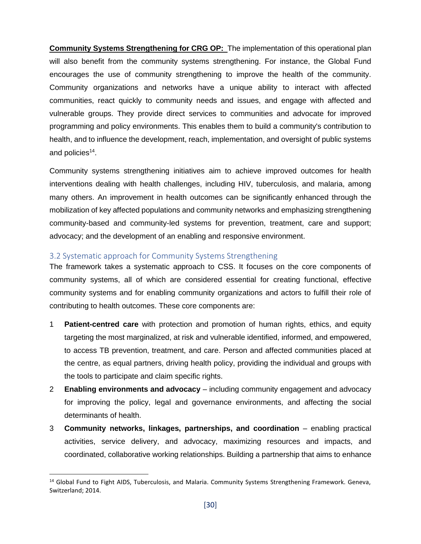**Community Systems Strengthening for CRG OP:** The implementation of this operational plan will also benefit from the community systems strengthening. For instance, the Global Fund encourages the use of community strengthening to improve the health of the community. Community organizations and networks have a unique ability to interact with affected communities, react quickly to community needs and issues, and engage with affected and vulnerable groups. They provide direct services to communities and advocate for improved programming and policy environments. This enables them to build a community's contribution to health, and to influence the development, reach, implementation, and oversight of public systems and policies<sup>14</sup>.

Community systems strengthening initiatives aim to achieve improved outcomes for health interventions dealing with health challenges, including HIV, tuberculosis, and malaria, among many others. An improvement in health outcomes can be significantly enhanced through the mobilization of key affected populations and community networks and emphasizing strengthening community-based and community-led systems for prevention, treatment, care and support; advocacy; and the development of an enabling and responsive environment.

#### <span id="page-29-0"></span>3.2 Systematic approach for Community Systems Strengthening

The framework takes a systematic approach to CSS. It focuses on the core components of community systems, all of which are considered essential for creating functional, effective community systems and for enabling community organizations and actors to fulfill their role of contributing to health outcomes. These core components are:

- 1 **Patient-centred care** with protection and promotion of human rights, ethics, and equity targeting the most marginalized, at risk and vulnerable identified, informed, and empowered, to access TB prevention, treatment, and care. Person and affected communities placed at the centre, as equal partners, driving health policy, providing the individual and groups with the tools to participate and claim specific rights.
- 2 **Enabling environments and advocacy** including community engagement and advocacy for improving the policy, legal and governance environments, and affecting the social determinants of health.
- 3 **Community networks, linkages, partnerships, and coordination** enabling practical activities, service delivery, and advocacy, maximizing resources and impacts, and coordinated, collaborative working relationships. Building a partnership that aims to enhance

<sup>&</sup>lt;sup>14</sup> Global Fund to Fight AIDS, Tuberculosis, and Malaria. Community Systems Strengthening Framework. Geneva, Switzerland; 2014.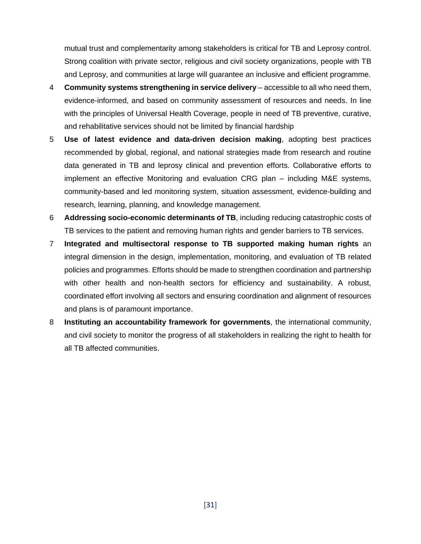mutual trust and complementarity among stakeholders is critical for TB and Leprosy control. Strong coalition with private sector, religious and civil society organizations, people with TB and Leprosy, and communities at large will guarantee an inclusive and efficient programme.

- 4 **Community systems strengthening in service delivery** accessible to all who need them, evidence-informed, and based on community assessment of resources and needs. In line with the principles of Universal Health Coverage, people in need of TB preventive, curative, and rehabilitative services should not be limited by financial hardship
- 5 **Use of latest evidence and data-driven decision making**, adopting best practices recommended by global, regional, and national strategies made from research and routine data generated in TB and leprosy clinical and prevention efforts. Collaborative efforts to implement an effective Monitoring and evaluation CRG plan – including M&E systems, community-based and led monitoring system, situation assessment, evidence-building and research, learning, planning, and knowledge management.
- 6 **Addressing socio-economic determinants of TB**, including reducing catastrophic costs of TB services to the patient and removing human rights and gender barriers to TB services.
- 7 **Integrated and multisectoral response to TB supported making human rights** an integral dimension in the design, implementation, monitoring, and evaluation of TB related policies and programmes. Efforts should be made to strengthen coordination and partnership with other health and non-health sectors for efficiency and sustainability. A robust, coordinated effort involving all sectors and ensuring coordination and alignment of resources and plans is of paramount importance.
- 8 **Instituting an accountability framework for governments**, the international community, and civil society to monitor the progress of all stakeholders in realizing the right to health for all TB affected communities.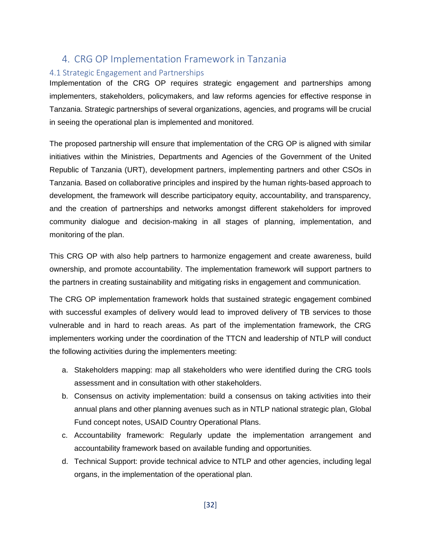## <span id="page-31-0"></span>4. CRG OP Implementation Framework in Tanzania

#### <span id="page-31-1"></span>4.1 Strategic Engagement and Partnerships

Implementation of the CRG OP requires strategic engagement and partnerships among implementers, stakeholders, policymakers, and law reforms agencies for effective response in Tanzania. Strategic partnerships of several organizations, agencies, and programs will be crucial in seeing the operational plan is implemented and monitored.

The proposed partnership will ensure that implementation of the CRG OP is aligned with similar initiatives within the Ministries, Departments and Agencies of the Government of the United Republic of Tanzania (URT), development partners, implementing partners and other CSOs in Tanzania. Based on collaborative principles and inspired by the human rights-based approach to development, the framework will describe participatory equity, accountability, and transparency, and the creation of partnerships and networks amongst different stakeholders for improved community dialogue and decision-making in all stages of planning, implementation, and monitoring of the plan.

This CRG OP with also help partners to harmonize engagement and create awareness, build ownership, and promote accountability. The implementation framework will support partners to the partners in creating sustainability and mitigating risks in engagement and communication.

The CRG OP implementation framework holds that sustained strategic engagement combined with successful examples of delivery would lead to improved delivery of TB services to those vulnerable and in hard to reach areas. As part of the implementation framework, the CRG implementers working under the coordination of the TTCN and leadership of NTLP will conduct the following activities during the implementers meeting:

- a. Stakeholders mapping: map all stakeholders who were identified during the CRG tools assessment and in consultation with other stakeholders.
- b. Consensus on activity implementation: build a consensus on taking activities into their annual plans and other planning avenues such as in NTLP national strategic plan, Global Fund concept notes, USAID Country Operational Plans.
- c. Accountability framework: Regularly update the implementation arrangement and accountability framework based on available funding and opportunities.
- d. Technical Support: provide technical advice to NTLP and other agencies, including legal organs, in the implementation of the operational plan.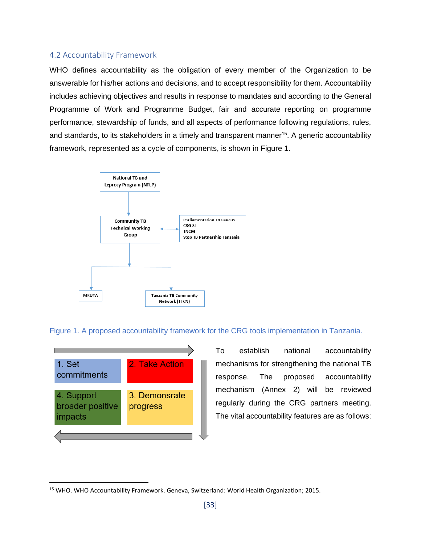#### <span id="page-32-0"></span>4.2 Accountability Framework

WHO defines accountability as the obligation of every member of the Organization to be answerable for his/her actions and decisions, and to accept responsibility for them. Accountability includes achieving objectives and results in response to mandates and according to the General Programme of Work and Programme Budget, fair and accurate reporting on programme performance, stewardship of funds, and all aspects of performance following regulations, rules, and standards, to its stakeholders in a timely and transparent manner<sup>15</sup>. A generic accountability framework, represented as a cycle of components, is shown in Figure 1.



Figure 1. A proposed accountability framework for the CRG tools implementation in Tanzania.



To establish national accountability mechanisms for strengthening the national TB response. The proposed accountability mechanism (Annex 2) will be reviewed regularly during the CRG partners meeting. The vital accountability features are as follows:

<sup>15</sup> WHO. WHO Accountability Framework. Geneva, Switzerland: World Health Organization; 2015.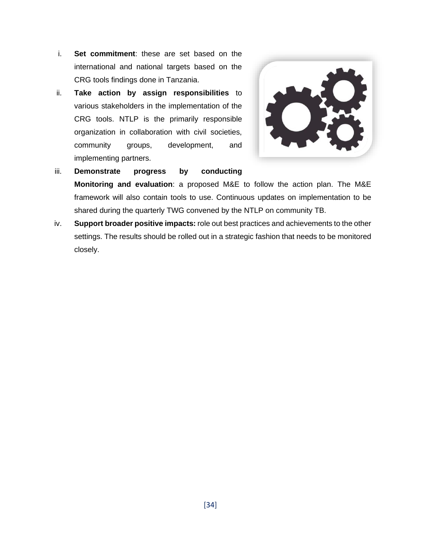- i. **Set commitment**: these are set based on the international and national targets based on the CRG tools findings done in Tanzania.
- ii. **Take action by assign responsibilities** to various stakeholders in the implementation of the CRG tools. NTLP is the primarily responsible organization in collaboration with civil societies, community groups, development, and implementing partners.



- iii. **Demonstrate progress by conducting Monitoring and evaluation**: a proposed M&E to follow the action plan. The M&E framework will also contain tools to use. Continuous updates on implementation to be shared during the quarterly TWG convened by the NTLP on community TB.
- <span id="page-33-0"></span>iv. **Support broader positive impacts:** role out best practices and achievements to the other settings. The results should be rolled out in a strategic fashion that needs to be monitored closely.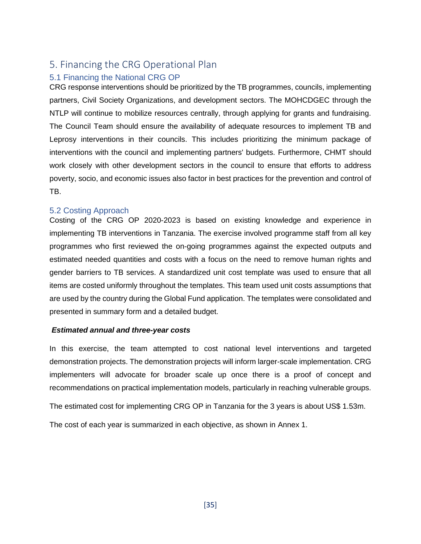## 5. Financing the CRG Operational Plan

#### <span id="page-34-0"></span>5.1 Financing the National CRG OP

CRG response interventions should be prioritized by the TB programmes, councils, implementing partners, Civil Society Organizations, and development sectors. The MOHCDGEC through the NTLP will continue to mobilize resources centrally, through applying for grants and fundraising. The Council Team should ensure the availability of adequate resources to implement TB and Leprosy interventions in their councils. This includes prioritizing the minimum package of interventions with the council and implementing partners' budgets. Furthermore, CHMT should work closely with other development sectors in the council to ensure that efforts to address poverty, socio, and economic issues also factor in best practices for the prevention and control of TB.

#### <span id="page-34-1"></span>5.2 Costing Approach

Costing of the CRG OP 2020-2023 is based on existing knowledge and experience in implementing TB interventions in Tanzania. The exercise involved programme staff from all key programmes who first reviewed the on-going programmes against the expected outputs and estimated needed quantities and costs with a focus on the need to remove human rights and gender barriers to TB services. A standardized unit cost template was used to ensure that all items are costed uniformly throughout the templates. This team used unit costs assumptions that are used by the country during the Global Fund application. The templates were consolidated and presented in summary form and a detailed budget.

#### *Estimated annual and three-year costs*

In this exercise, the team attempted to cost national level interventions and targeted demonstration projects. The demonstration projects will inform larger-scale implementation. CRG implementers will advocate for broader scale up once there is a proof of concept and recommendations on practical implementation models, particularly in reaching vulnerable groups.

The estimated cost for implementing CRG OP in Tanzania for the 3 years is about US\$ 1.53m.

The cost of each year is summarized in each objective, as shown in Annex 1.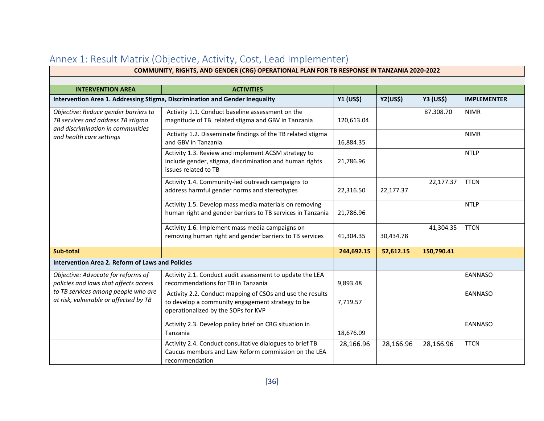<span id="page-35-0"></span>

| COMMUNITY, RIGHTS, AND GENDER (CRG) OPERATIONAL PLAN FOR TB RESPONSE IN TANZANIA 2020-2022                     |                                                                                                                                                      |                 |                  |                    |                |  |  |
|----------------------------------------------------------------------------------------------------------------|------------------------------------------------------------------------------------------------------------------------------------------------------|-----------------|------------------|--------------------|----------------|--|--|
|                                                                                                                |                                                                                                                                                      |                 |                  |                    |                |  |  |
| <b>INTERVENTION AREA</b>                                                                                       |                                                                                                                                                      |                 |                  |                    |                |  |  |
| Intervention Area 1. Addressing Stigma, Discrimination and Gender Inequality                                   | Y1 (US\$)                                                                                                                                            | <b>Y2(US\$)</b> | <b>Y3 (US\$)</b> | <b>IMPLEMENTER</b> |                |  |  |
| Objective: Reduce gender barriers to<br>TB services and address TB stigma<br>and discrimination in communities | Activity 1.1. Conduct baseline assessment on the<br>magnitude of TB related stigma and GBV in Tanzania                                               | 120,613.04      |                  | 87.308.70          | <b>NIMR</b>    |  |  |
| and health care settings                                                                                       | Activity 1.2. Disseminate findings of the TB related stigma<br>and GBV in Tanzania                                                                   | 16,884.35       |                  |                    | <b>NIMR</b>    |  |  |
|                                                                                                                | Activity 1.3. Review and implement ACSM strategy to<br>include gender, stigma, discrimination and human rights<br>issues related to TB               | 21,786.96       |                  |                    | <b>NTLP</b>    |  |  |
|                                                                                                                | Activity 1.4. Community-led outreach campaigns to<br>address harmful gender norms and stereotypes                                                    | 22,316.50       | 22,177.37        | 22,177.37          | <b>TTCN</b>    |  |  |
|                                                                                                                | Activity 1.5. Develop mass media materials on removing<br>human right and gender barriers to TB services in Tanzania                                 | 21,786.96       |                  |                    | <b>NTLP</b>    |  |  |
|                                                                                                                | Activity 1.6. Implement mass media campaigns on<br>removing human right and gender barriers to TB services                                           | 41,304.35       | 30,434.78        | 41,304.35          | <b>TTCN</b>    |  |  |
| Sub-total                                                                                                      |                                                                                                                                                      | 244,692.15      | 52,612.15        | 150,790.41         |                |  |  |
| <b>Intervention Area 2. Reform of Laws and Policies</b>                                                        |                                                                                                                                                      |                 |                  |                    |                |  |  |
| Objective: Advocate for reforms of<br>policies and laws that affects access                                    | Activity 2.1. Conduct audit assessment to update the LEA<br>recommendations for TB in Tanzania                                                       | 9,893.48        |                  |                    | EANNASO        |  |  |
| to TB services among people who are<br>at risk, vulnerable or affected by TB                                   | Activity 2.2. Conduct mapping of CSOs and use the results<br>to develop a community engagement strategy to be<br>operationalized by the SOPs for KVP | 7,719.57        |                  |                    | EANNASO        |  |  |
|                                                                                                                | Activity 2.3. Develop policy brief on CRG situation in<br>Tanzania                                                                                   | 18,676.09       |                  |                    | <b>EANNASO</b> |  |  |
|                                                                                                                | Activity 2.4. Conduct consultative dialogues to brief TB<br>Caucus members and Law Reform commission on the LEA<br>recommendation                    | 28,166.96       | 28,166.96        | 28,166.96          | <b>TTCN</b>    |  |  |

## Annex 1: Result Matrix (Objective, Activity, Cost, Lead Implementer)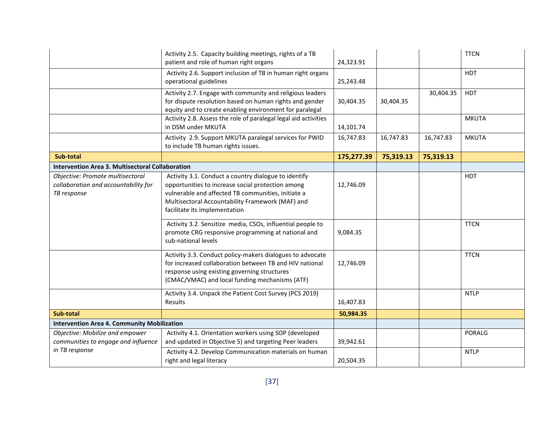|                                                                                         | Activity 2.5. Capacity building meetings, rights of a TB<br>patient and role of human right organs                                                                                                                                                   | 24,323.91  |           |           | <b>TTCN</b>  |
|-----------------------------------------------------------------------------------------|------------------------------------------------------------------------------------------------------------------------------------------------------------------------------------------------------------------------------------------------------|------------|-----------|-----------|--------------|
|                                                                                         | Activity 2.6. Support inclusion of TB in human right organs<br>operational guidelines                                                                                                                                                                | 25,243.48  |           |           | <b>HDT</b>   |
|                                                                                         | Activity 2.7. Engage with community and religious leaders<br>for dispute resolution based on human rights and gender<br>equity and to create enabling environment for paralegal                                                                      | 30,404.35  | 30,404.35 | 30,404.35 | <b>HDT</b>   |
|                                                                                         | Activity 2.8. Assess the role of paralegal legal aid activities<br>in DSM under MKUTA                                                                                                                                                                | 14,101.74  |           |           | <b>MKUTA</b> |
|                                                                                         | Activity 2.9. Support MKUTA paralegal services for PWID<br>to include TB human rights issues.                                                                                                                                                        | 16,747.83  | 16,747.83 | 16,747.83 | <b>MKUTA</b> |
| Sub-total                                                                               |                                                                                                                                                                                                                                                      | 175,277.39 | 75,319.13 | 75,319.13 |              |
| <b>Intervention Area 3. Multisectoral Collaboration</b>                                 |                                                                                                                                                                                                                                                      |            |           |           |              |
| Objective: Promote multisectoral<br>collaboration and accountability for<br>TB response | Activity 3.1. Conduct a country dialogue to identify<br>opportunities to increase social protection among<br>vulnerable and affected TB communities, initiate a<br>Multisectoral Accountability Framework (MAF) and<br>facilitate its implementation | 12,746.09  |           |           | <b>HDT</b>   |
|                                                                                         | Activity 3.2. Sensitize media, CSOs, influential people to<br>promote CRG responsive programming at national and<br>sub-national levels                                                                                                              | 9,084.35   |           |           | <b>TTCN</b>  |
|                                                                                         | Activity 3.3. Conduct policy-makers dialogues to advocate<br>for increased collaboration between TB and HIV national<br>response using existing governing structures<br>(CMAC/VMAC) and local funding mechanisms (ATF)                               | 12,746.09  |           |           | <b>TTCN</b>  |
|                                                                                         | Activity 3.4. Unpack the Patient Cost Survey (PCS 2019)<br>Results                                                                                                                                                                                   | 16,407.83  |           |           | <b>NTLP</b>  |
| Sub-total                                                                               |                                                                                                                                                                                                                                                      | 50,984.35  |           |           |              |
| <b>Intervention Area 4. Community Mobilization</b>                                      |                                                                                                                                                                                                                                                      |            |           |           |              |
| Objective: Mobilize and empower<br>communities to engage and influence                  | Activity 4.1. Orientation workers using SOP (developed<br>and updated in Objective 5) and targeting Peer leaders                                                                                                                                     | 39,942.61  |           |           | PORALG       |
| in TB response                                                                          | Activity 4.2. Develop Communication materials on human<br>right and legal literacy                                                                                                                                                                   | 20,504.35  |           |           | <b>NTLP</b>  |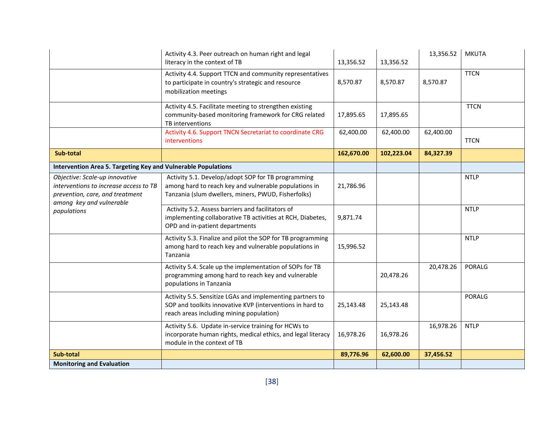| <b>Monitoring and Evaluation</b>                                                                                                        |                                                                                                                                                                    |            |            |           |              |
|-----------------------------------------------------------------------------------------------------------------------------------------|--------------------------------------------------------------------------------------------------------------------------------------------------------------------|------------|------------|-----------|--------------|
| Sub-total                                                                                                                               |                                                                                                                                                                    | 89,776.96  | 62,600.00  | 37,456.52 |              |
|                                                                                                                                         | Activity 5.6. Update in-service training for HCWs to<br>incorporate human rights, medical ethics, and legal literacy<br>module in the context of TB                | 16,978.26  | 16,978.26  | 16,978.26 | <b>NTLP</b>  |
|                                                                                                                                         | Activity 5.5. Sensitize LGAs and implementing partners to<br>SOP and toolkits innovative KVP (interventions in hard to<br>reach areas including mining population) | 25,143.48  | 25,143.48  |           | PORALG       |
|                                                                                                                                         | Activity 5.4. Scale up the implementation of SOPs for TB<br>programming among hard to reach key and vulnerable<br>populations in Tanzania                          |            | 20,478.26  | 20,478.26 | PORALG       |
|                                                                                                                                         | Activity 5.3. Finalize and pilot the SOP for TB programming<br>among hard to reach key and vulnerable populations in<br>Tanzania                                   | 15,996.52  |            |           | <b>NTLP</b>  |
| populations                                                                                                                             | Activity 5.2. Assess barriers and facilitators of<br>implementing collaborative TB activities at RCH, Diabetes,<br>OPD and in-patient departments                  | 9,871.74   |            |           | <b>NTLP</b>  |
| Objective: Scale-up innovative<br>interventions to increase access to TB<br>prevention, care, and treatment<br>among key and vulnerable | Activity 5.1. Develop/adopt SOP for TB programming<br>among hard to reach key and vulnerable populations in<br>Tanzania (slum dwellers, miners, PWUD, Fisherfolks) | 21,786.96  |            |           | <b>NTLP</b>  |
| Intervention Area 5. Targeting Key and Vulnerable Populations                                                                           |                                                                                                                                                                    |            |            |           |              |
| Sub-total                                                                                                                               |                                                                                                                                                                    | 162,670.00 | 102,223.04 | 84,327.39 |              |
|                                                                                                                                         | Activity 4.6. Support TNCN Secretariat to coordinate CRG<br>interventions                                                                                          | 62,400.00  | 62,400.00  | 62,400.00 | <b>TTCN</b>  |
|                                                                                                                                         | Activity 4.5. Facilitate meeting to strengthen existing<br>community-based monitoring framework for CRG related<br>TB interventions                                | 17,895.65  | 17,895.65  |           | <b>TTCN</b>  |
|                                                                                                                                         | Activity 4.4. Support TTCN and community representatives<br>to participate in country's strategic and resource<br>mobilization meetings                            | 8,570.87   | 8,570.87   | 8,570.87  | <b>TTCN</b>  |
|                                                                                                                                         | literacy in the context of TB                                                                                                                                      | 13,356.52  | 13,356.52  |           |              |
|                                                                                                                                         | Activity 4.3. Peer outreach on human right and legal                                                                                                               |            |            | 13,356.52 | <b>MKUTA</b> |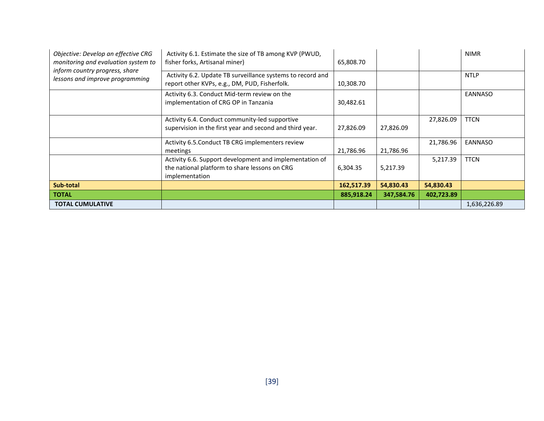| Objective: Develop an effective CRG<br>monitoring and evaluation system to | Activity 6.1. Estimate the size of TB among KVP (PWUD,<br>fisher forks, Artisanal miner)                                   | 65,808.70  |            |            | <b>NIMR</b>    |
|----------------------------------------------------------------------------|----------------------------------------------------------------------------------------------------------------------------|------------|------------|------------|----------------|
| inform country progress, share<br>lessons and improve programming          | Activity 6.2. Update TB surveillance systems to record and<br>report other KVPs, e.g., DM, PUD, Fisherfolk.                | 10,308.70  |            |            | <b>NTLP</b>    |
|                                                                            | Activity 6.3. Conduct Mid-term review on the<br>implementation of CRG OP in Tanzania                                       | 30,482.61  |            |            | <b>EANNASO</b> |
|                                                                            | Activity 6.4. Conduct community-led supportive<br>supervision in the first year and second and third year.                 | 27,826.09  | 27,826.09  | 27,826.09  | <b>TTCN</b>    |
|                                                                            | Activity 6.5. Conduct TB CRG implementers review<br>meetings                                                               | 21,786.96  | 21,786.96  | 21,786.96  | EANNASO        |
|                                                                            | Activity 6.6. Support development and implementation of<br>the national platform to share lessons on CRG<br>implementation | 6,304.35   | 5,217.39   | 5,217.39   | <b>TTCN</b>    |
| Sub-total                                                                  |                                                                                                                            | 162,517.39 | 54,830.43  | 54,830.43  |                |
| <b>TOTAL</b>                                                               |                                                                                                                            | 885,918.24 | 347,584.76 | 402,723.89 |                |
| <b>TOTAL CUMULATIVE</b>                                                    |                                                                                                                            |            |            |            | 1,636,226.89   |